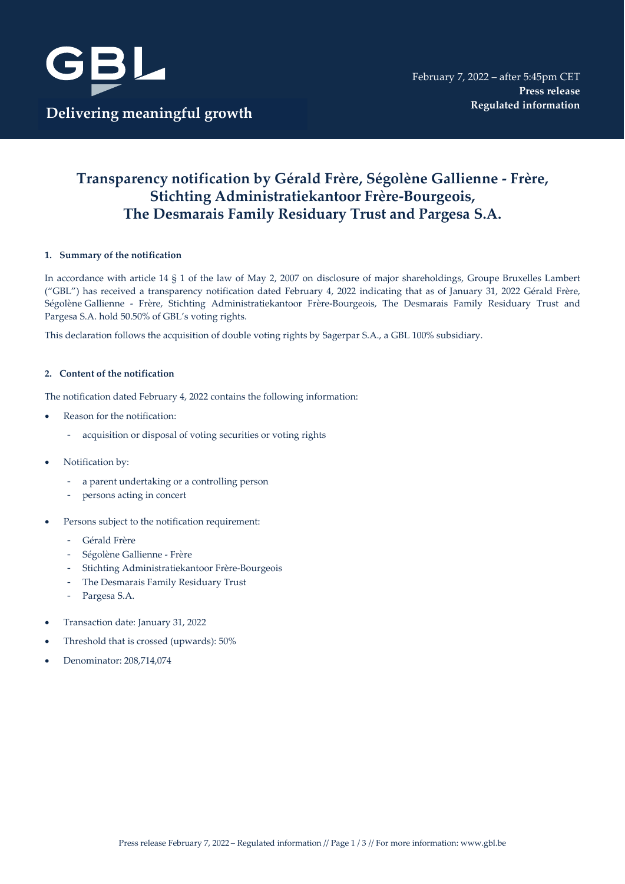

# **Transparency notification by Gérald Frère, Ségolène Gallienne - Frère, Stichting Administratiekantoor Frère-Bourgeois, The Desmarais Family Residuary Trust and Pargesa S.A.**

#### **1. Summary of the notification**

In accordance with article 14 § 1 of the law of May 2, 2007 on disclosure of major shareholdings, Groupe Bruxelles Lambert ("GBL") has received a transparency notification dated February 4, 2022 indicating that as of January 31, 2022 Gérald Frère, Ségolène Gallienne - Frère, Stichting Administratiekantoor Frère-Bourgeois, The Desmarais Family Residuary Trust and Pargesa S.A. hold 50.50% of GBL's voting rights.

This declaration follows the acquisition of double voting rights by Sagerpar S.A., a GBL 100% subsidiary.

#### **2. Content of the notification**

The notification dated February 4, 2022 contains the following information:

- Reason for the notification:
	- acquisition or disposal of voting securities or voting rights
- Notification by:
	- a parent undertaking or a controlling person
	- persons acting in concert
- Persons subject to the notification requirement:
	- Gérald Frère
	- Ségolène Gallienne Frère
	- Stichting Administratiekantoor Frère-Bourgeois
	- The Desmarais Family Residuary Trust
	- Pargesa S.A.
- Transaction date: January 31, 2022
- Threshold that is crossed (upwards): 50%
- Denominator: 208,714,074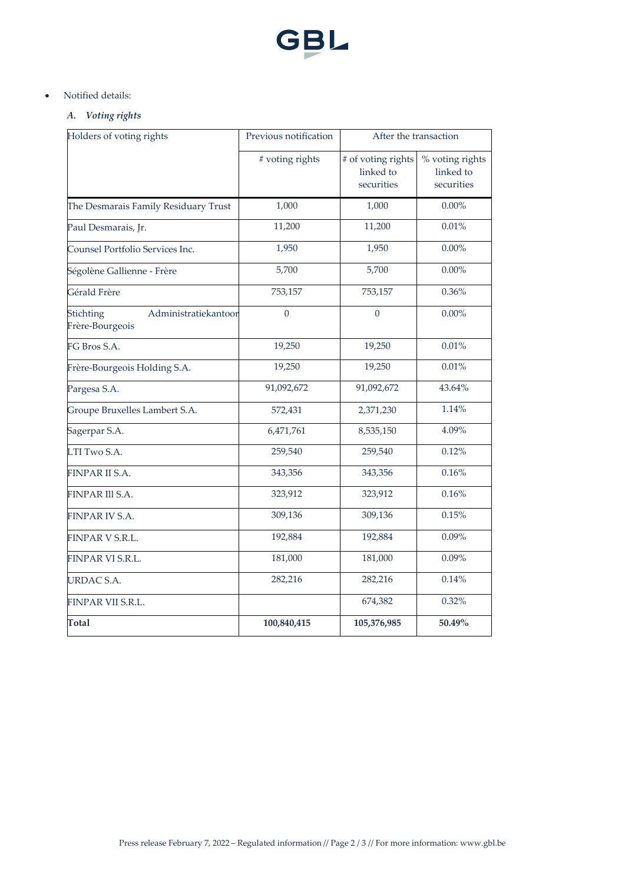

# • Notified details:

# *A. Voting rights*

| Holders of voting rights                             | Previous notification | After the transaction                         |                                            |  |
|------------------------------------------------------|-----------------------|-----------------------------------------------|--------------------------------------------|--|
|                                                      | # voting rights       | # of voting rights<br>linked to<br>securities | % voting rights<br>linked to<br>securities |  |
| The Desmarais Family Residuary Trust                 | 1,000                 | 1,000                                         | $0.00\%$                                   |  |
| Paul Desmarais, Jr.                                  | 11,200                | 11,200                                        | 0.01%                                      |  |
| Counsel Portfolio Services Inc.                      | 1,950                 | 1,950                                         | $0.00\%$                                   |  |
| Ségolène Gallienne - Frère                           | 5,700                 | 5,700                                         | $0.00\%$                                   |  |
| Gérald Frère                                         | 753,157               | 753,157                                       | $0.36\%$                                   |  |
| Stichting<br>Administratiekantoor<br>Frère-Bourgeois | $\theta$              | $\theta$                                      | $0.00\%$                                   |  |
| FG Bros S.A.                                         | 19,250                | 19,250                                        | 0.01%                                      |  |
| Frère-Bourgeois Holding S.A.                         | 19,250                | 19,250                                        | 0.01%                                      |  |
| Pargesa S.A.                                         | 91,092,672            | 91,092,672                                    | 43.64%                                     |  |
| Groupe Bruxelles Lambert S.A.                        | 572,431               | 2,371,230                                     | 1.14%                                      |  |
| Sagerpar S.A.                                        | 6,471,761             | 8,535,150                                     | 4.09%                                      |  |
| LTI Two S.A.                                         | 259,540               | 259,540                                       | 0.12%                                      |  |
| <b>FINPAR II S.A.</b>                                | 343,356               | 343,356                                       | 0.16%                                      |  |
| FINPAR III S.A.                                      | 323,912               | 323,912                                       | 0.16%                                      |  |
| FINPAR IV S.A.                                       | 309,136               | 309,136                                       | 0.15%                                      |  |
| FINPAR V S.R.L.                                      | 192,884               | 192,884                                       | 0.09%                                      |  |
| FINPAR VI S.R.L.                                     | 181,000               | 181,000                                       | 0.09%                                      |  |
| URDAC S.A.                                           | 282,216               | 282,216                                       | 0.14%                                      |  |
| FINPAR VII S.R.L.                                    |                       | 674,382                                       | 0.32%                                      |  |
| <b>Total</b>                                         | 100,840,415           | 105,376,985                                   | $50.49\%$                                  |  |